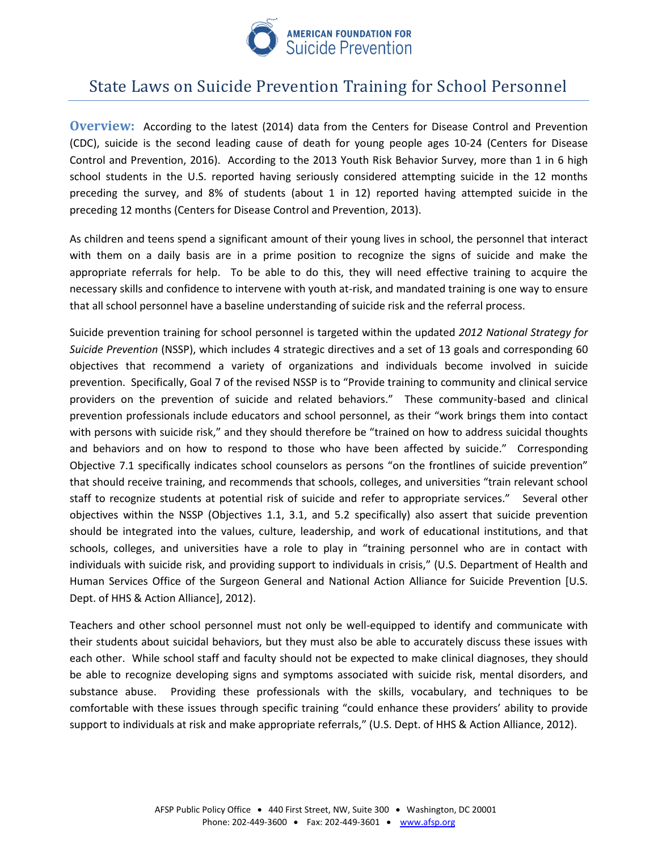

# State Laws on Suicide Prevention Training for School Personnel

**Overview:** According to the latest (2014) data from the Centers for Disease Control and Prevention (CDC), suicide is the second leading cause of death for young people ages 10-24 (Centers for Disease Control and Prevention, 2016). According to the 2013 Youth Risk Behavior Survey, more than 1 in 6 high school students in the U.S. reported having seriously considered attempting suicide in the 12 months preceding the survey, and 8% of students (about 1 in 12) reported having attempted suicide in the preceding 12 months (Centers for Disease Control and Prevention, 2013).

As children and teens spend a significant amount of their young lives in school, the personnel that interact with them on a daily basis are in a prime position to recognize the signs of suicide and make the appropriate referrals for help. To be able to do this, they will need effective training to acquire the necessary skills and confidence to intervene with youth at-risk, and mandated training is one way to ensure that all school personnel have a baseline understanding of suicide risk and the referral process.

Suicide prevention training for school personnel is targeted within the updated *2012 National Strategy for Suicide Prevention* (NSSP), which includes 4 strategic directives and a set of 13 goals and corresponding 60 objectives that recommend a variety of organizations and individuals become involved in suicide prevention. Specifically, Goal 7 of the revised NSSP is to "Provide training to community and clinical service providers on the prevention of suicide and related behaviors." These community-based and clinical prevention professionals include educators and school personnel, as their "work brings them into contact with persons with suicide risk," and they should therefore be "trained on how to address suicidal thoughts and behaviors and on how to respond to those who have been affected by suicide." Corresponding Objective 7.1 specifically indicates school counselors as persons "on the frontlines of suicide prevention" that should receive training, and recommends that schools, colleges, and universities "train relevant school staff to recognize students at potential risk of suicide and refer to appropriate services." Several other objectives within the NSSP (Objectives 1.1, 3.1, and 5.2 specifically) also assert that suicide prevention should be integrated into the values, culture, leadership, and work of educational institutions, and that schools, colleges, and universities have a role to play in "training personnel who are in contact with individuals with suicide risk, and providing support to individuals in crisis," (U.S. Department of Health and Human Services Office of the Surgeon General and National Action Alliance for Suicide Prevention [U.S. Dept. of HHS & Action Alliance], 2012).

Teachers and other school personnel must not only be well-equipped to identify and communicate with their students about suicidal behaviors, but they must also be able to accurately discuss these issues with each other. While school staff and faculty should not be expected to make clinical diagnoses, they should be able to recognize developing signs and symptoms associated with suicide risk, mental disorders, and substance abuse. Providing these professionals with the skills, vocabulary, and techniques to be comfortable with these issues through specific training "could enhance these providers' ability to provide support to individuals at risk and make appropriate referrals," (U.S. Dept. of HHS & Action Alliance, 2012).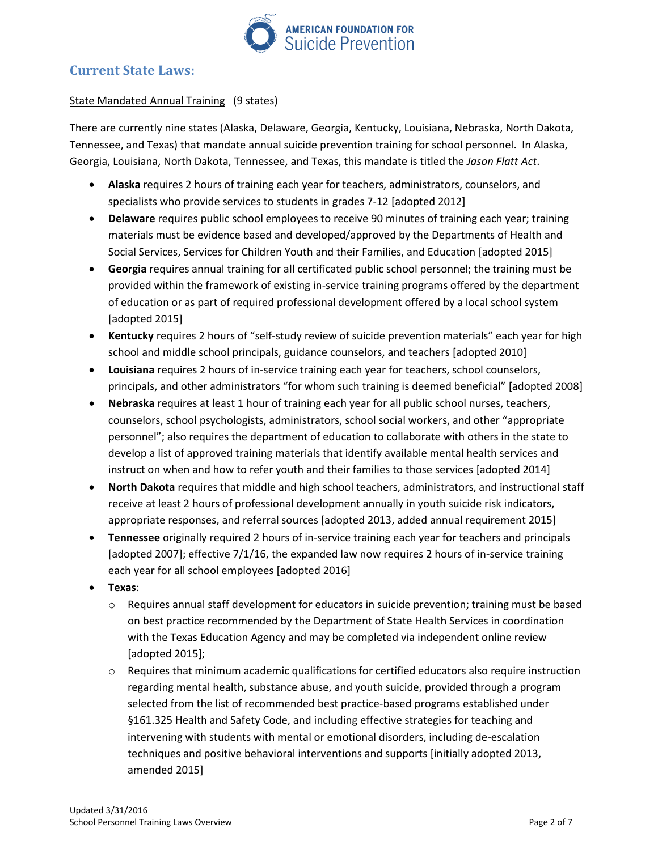

# **Current State Laws:**

### State Mandated Annual Training (9 states)

There are currently nine states (Alaska, Delaware, Georgia, Kentucky, Louisiana, Nebraska, North Dakota, Tennessee, and Texas) that mandate annual suicide prevention training for school personnel. In Alaska, Georgia, Louisiana, North Dakota, Tennessee, and Texas, this mandate is titled the *Jason Flatt Act*.

- **Alaska** requires 2 hours of training each year for teachers, administrators, counselors, and specialists who provide services to students in grades 7-12 [adopted 2012]
- **•** Delaware requires public school employees to receive 90 minutes of training each year; training materials must be evidence based and developed/approved by the Departments of Health and Social Services, Services for Children Youth and their Families, and Education [adopted 2015]
- **Georgia** requires annual training for all certificated public school personnel; the training must be provided within the framework of existing in-service training programs offered by the department of education or as part of required professional development offered by a local school system [adopted 2015]
- **Kentucky** requires 2 hours of "self-study review of suicide prevention materials" each year for high school and middle school principals, guidance counselors, and teachers [adopted 2010]
- **Louisiana** requires 2 hours of in-service training each year for teachers, school counselors, principals, and other administrators "for whom such training is deemed beneficial" [adopted 2008]
- **Nebraska** requires at least 1 hour of training each year for all public school nurses, teachers, counselors, school psychologists, administrators, school social workers, and other "appropriate personnel"; also requires the department of education to collaborate with others in the state to develop a list of approved training materials that identify available mental health services and instruct on when and how to refer youth and their families to those services [adopted 2014]
- **North Dakota** requires that middle and high school teachers, administrators, and instructional staff receive at least 2 hours of professional development annually in youth suicide risk indicators, appropriate responses, and referral sources [adopted 2013, added annual requirement 2015]
- **Tennessee** originally required 2 hours of in-service training each year for teachers and principals [adopted 2007]; effective 7/1/16, the expanded law now requires 2 hours of in-service training each year for all school employees [adopted 2016]
- **Texas**:
	- $\circ$  Requires annual staff development for educators in suicide prevention; training must be based on best practice recommended by the Department of State Health Services in coordination with the Texas Education Agency and may be completed via independent online review [adopted 2015];
	- $\circ$  Requires that minimum academic qualifications for certified educators also require instruction regarding mental health, substance abuse, and youth suicide, provided through a program selected from the list of recommended best practice-based programs established under §161.325 Health and Safety Code, and including effective strategies for teaching and intervening with students with mental or emotional disorders, including de-escalation techniques and positive behavioral interventions and supports [initially adopted 2013, amended 2015]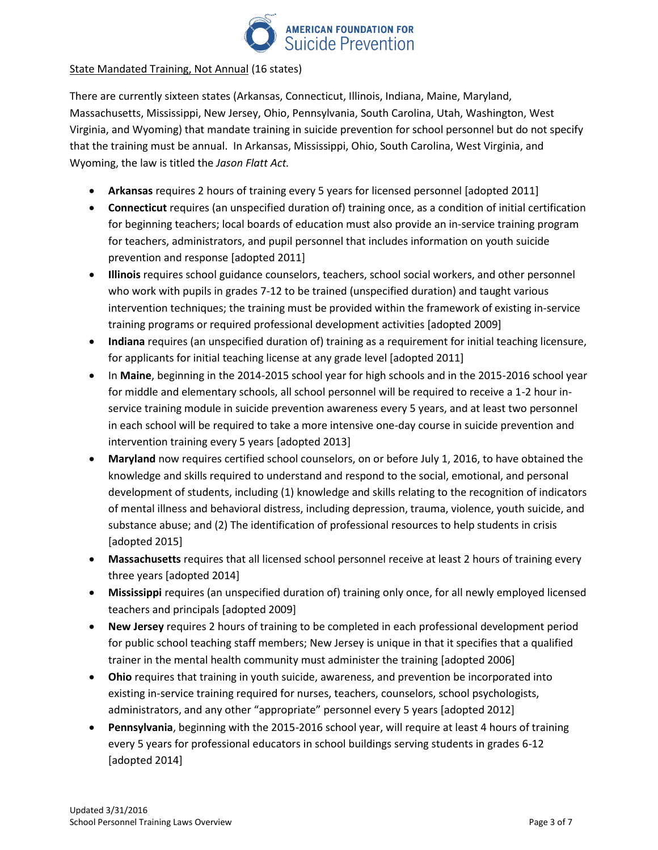

#### State Mandated Training, Not Annual (16 states)

There are currently sixteen states (Arkansas, Connecticut, Illinois, Indiana, Maine, Maryland, Massachusetts, Mississippi, New Jersey, Ohio, Pennsylvania, South Carolina, Utah, Washington, West Virginia, and Wyoming) that mandate training in suicide prevention for school personnel but do not specify that the training must be annual. In Arkansas, Mississippi, Ohio, South Carolina, West Virginia, and Wyoming, the law is titled the *Jason Flatt Act.*

- **Arkansas** requires 2 hours of training every 5 years for licensed personnel [adopted 2011]
- **Connecticut** requires (an unspecified duration of) training once, as a condition of initial certification for beginning teachers; local boards of education must also provide an in-service training program for teachers, administrators, and pupil personnel that includes information on youth suicide prevention and response [adopted 2011]
- **Illinois** requires school guidance counselors, teachers, school social workers, and other personnel who work with pupils in grades 7-12 to be trained (unspecified duration) and taught various intervention techniques; the training must be provided within the framework of existing in-service training programs or required professional development activities [adopted 2009]
- **Indiana** requires (an unspecified duration of) training as a requirement for initial teaching licensure, for applicants for initial teaching license at any grade level [adopted 2011]
- In **Maine**, beginning in the 2014-2015 school year for high schools and in the 2015-2016 school year for middle and elementary schools, all school personnel will be required to receive a 1-2 hour inservice training module in suicide prevention awareness every 5 years, and at least two personnel in each school will be required to take a more intensive one-day course in suicide prevention and intervention training every 5 years [adopted 2013]
- **Maryland** now requires certified school counselors, on or before July 1, 2016, to have obtained the knowledge and skills required to understand and respond to the social, emotional, and personal development of students, including (1) knowledge and skills relating to the recognition of indicators of mental illness and behavioral distress, including depression, trauma, violence, youth suicide, and substance abuse; and (2) The identification of professional resources to help students in crisis [adopted 2015]
- **Massachusetts** requires that all licensed school personnel receive at least 2 hours of training every three years [adopted 2014]
- **Mississippi** requires (an unspecified duration of) training only once, for all newly employed licensed teachers and principals [adopted 2009]
- **New Jersey** requires 2 hours of training to be completed in each professional development period for public school teaching staff members; New Jersey is unique in that it specifies that a qualified trainer in the mental health community must administer the training [adopted 2006]
- **Ohio** requires that training in youth suicide, awareness, and prevention be incorporated into existing in-service training required for nurses, teachers, counselors, school psychologists, administrators, and any other "appropriate" personnel every 5 years [adopted 2012]
- **Pennsylvania**, beginning with the 2015-2016 school year, will require at least 4 hours of training every 5 years for professional educators in school buildings serving students in grades 6-12 [adopted 2014]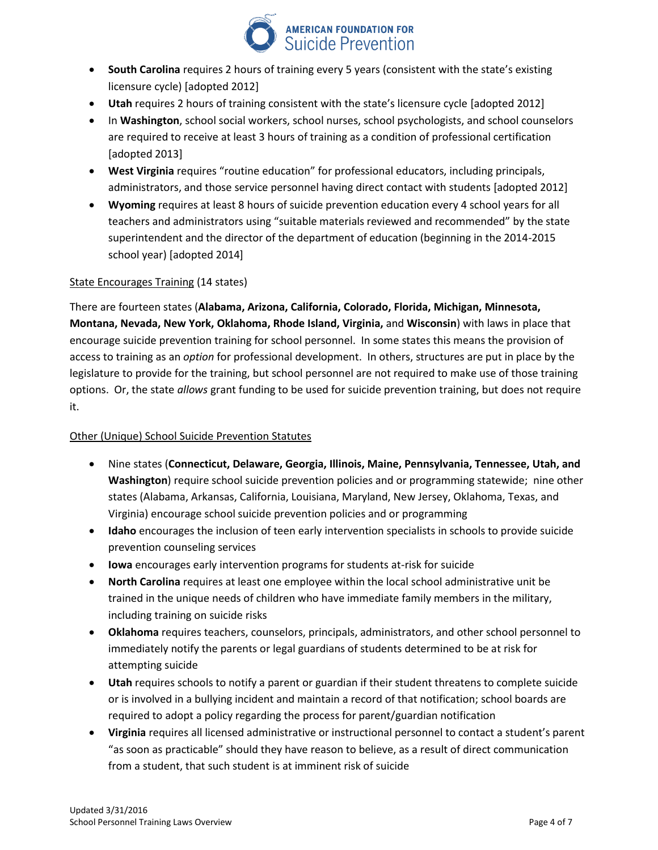

- **South Carolina** requires 2 hours of training every 5 years (consistent with the state's existing licensure cycle) [adopted 2012]
- **Utah** requires 2 hours of training consistent with the state's licensure cycle [adopted 2012]
- In **Washington**, school social workers, school nurses, school psychologists, and school counselors are required to receive at least 3 hours of training as a condition of professional certification [adopted 2013]
- **West Virginia** requires "routine education" for professional educators, including principals, administrators, and those service personnel having direct contact with students [adopted 2012]
- **Wyoming** requires at least 8 hours of suicide prevention education every 4 school years for all teachers and administrators using "suitable materials reviewed and recommended" by the state superintendent and the director of the department of education (beginning in the 2014-2015 school year) [adopted 2014]

#### State Encourages Training (14 states)

There are fourteen states (**Alabama, Arizona, California, Colorado, Florida, Michigan, Minnesota, Montana, Nevada, New York, Oklahoma, Rhode Island, Virginia,** and **Wisconsin**) with laws in place that encourage suicide prevention training for school personnel. In some states this means the provision of access to training as an *option* for professional development. In others, structures are put in place by the legislature to provide for the training, but school personnel are not required to make use of those training options. Or, the state *allows* grant funding to be used for suicide prevention training, but does not require it.

#### Other (Unique) School Suicide Prevention Statutes

- Nine states (**Connecticut, Delaware, Georgia, Illinois, Maine, Pennsylvania, Tennessee, Utah, and Washington**) require school suicide prevention policies and or programming statewide; nine other states (Alabama, Arkansas, California, Louisiana, Maryland, New Jersey, Oklahoma, Texas, and Virginia) encourage school suicide prevention policies and or programming
- **Idaho** encourages the inclusion of teen early intervention specialists in schools to provide suicide prevention counseling services
- **Iowa** encourages early intervention programs for students at-risk for suicide
- **North Carolina** requires at least one employee within the local school administrative unit be trained in the unique needs of children who have immediate family members in the military, including training on suicide risks
- **Oklahoma** requires teachers, counselors, principals, administrators, and other school personnel to immediately notify the parents or legal guardians of students determined to be at risk for attempting suicide
- **Utah** requires schools to notify a parent or guardian if their student threatens to complete suicide or is involved in a bullying incident and maintain a record of that notification; school boards are required to adopt a policy regarding the process for parent/guardian notification
- **Virginia** requires all licensed administrative or instructional personnel to contact a student's parent "as soon as practicable" should they have reason to believe, as a result of direct communication from a student, that such student is at imminent risk of suicide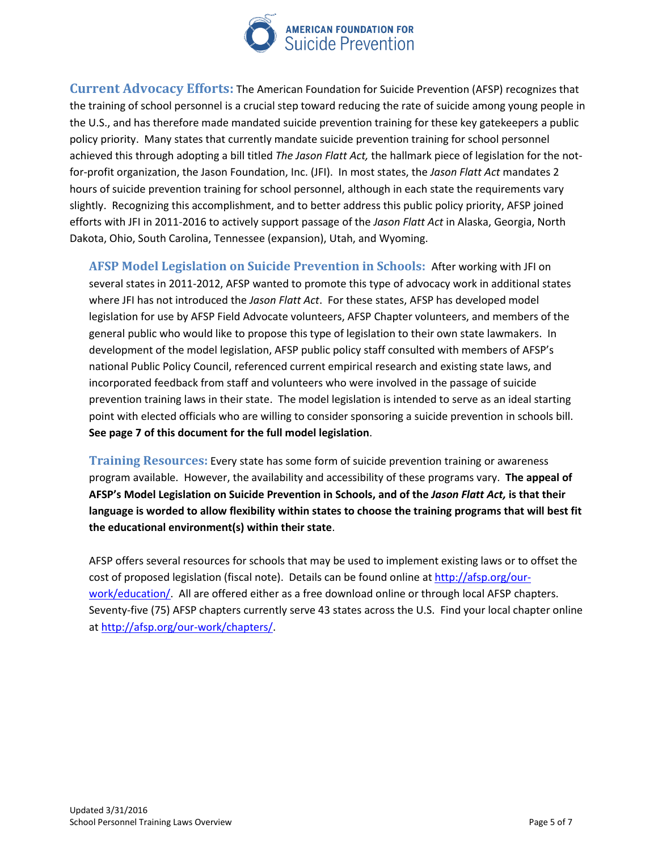

**Current Advocacy Efforts:** The American Foundation for Suicide Prevention (AFSP) recognizes that the training of school personnel is a crucial step toward reducing the rate of suicide among young people in the U.S., and has therefore made mandated suicide prevention training for these key gatekeepers a public policy priority. Many states that currently mandate suicide prevention training for school personnel achieved this through adopting a bill titled *The Jason Flatt Act,* the hallmark piece of legislation for the notfor-profit organization, the Jason Foundation, Inc. (JFI). In most states, the *Jason Flatt Act* mandates 2 hours of suicide prevention training for school personnel, although in each state the requirements vary slightly. Recognizing this accomplishment, and to better address this public policy priority, AFSP joined efforts with JFI in 2011-2016 to actively support passage of the *Jason Flatt Act* in Alaska, Georgia, North Dakota, Ohio, South Carolina, Tennessee (expansion), Utah, and Wyoming.

**AFSP Model Legislation on Suicide Prevention in Schools:** After working with JFI on several states in 2011-2012, AFSP wanted to promote this type of advocacy work in additional states where JFI has not introduced the *Jason Flatt Act*. For these states, AFSP has developed model legislation for use by AFSP Field Advocate volunteers, AFSP Chapter volunteers, and members of the general public who would like to propose this type of legislation to their own state lawmakers. In development of the model legislation, AFSP public policy staff consulted with members of AFSP's national Public Policy Council, referenced current empirical research and existing state laws, and incorporated feedback from staff and volunteers who were involved in the passage of suicide prevention training laws in their state. The model legislation is intended to serve as an ideal starting point with elected officials who are willing to consider sponsoring a suicide prevention in schools bill. **See page 7 of this document for the full model legislation**.

**Training Resources:** Every state has some form of suicide prevention training or awareness program available. However, the availability and accessibility of these programs vary. **The appeal of AFSP's Model Legislation on Suicide Prevention in Schools, and of the** *Jason Flatt Act,* **is that their language is worded to allow flexibility within states to choose the training programs that will best fit the educational environment(s) within their state**.

AFSP offers several resources for schools that may be used to implement existing laws or to offset the cost of proposed legislation (fiscal note). Details can be found online a[t http://afsp.org/our](http://afsp.org/our-work/education/)[work/education/.](http://afsp.org/our-work/education/) All are offered either as a free download online or through local AFSP chapters. Seventy-five (75) AFSP chapters currently serve 43 states across the U.S. Find your local chapter online at [http://afsp.org/our-work/chapters/.](http://afsp.org/our-work/chapters/)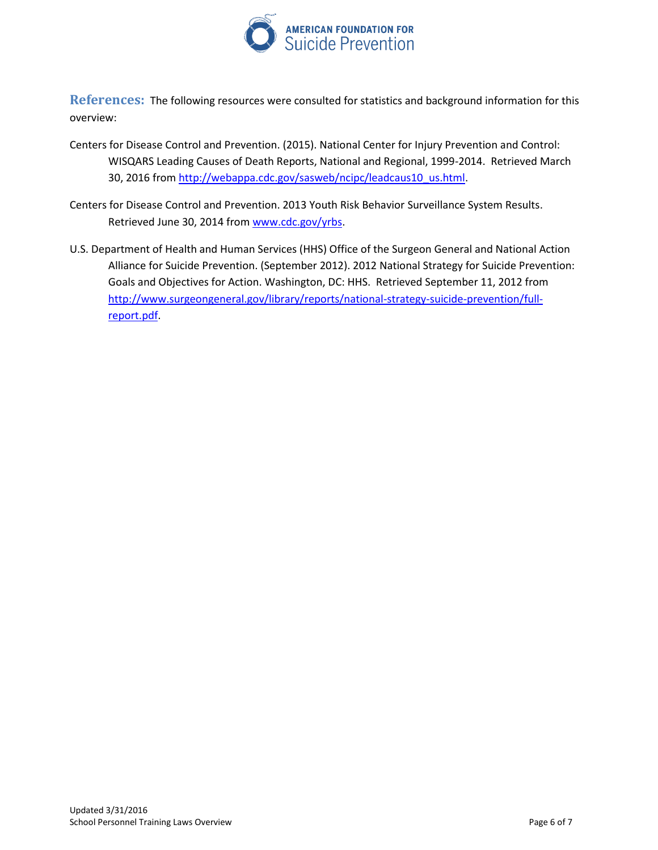

**References:** The following resources were consulted for statistics and background information for this overview:

- Centers for Disease Control and Prevention. (2015). National Center for Injury Prevention and Control: WISQARS Leading Causes of Death Reports, National and Regional, 1999-2014. Retrieved March 30, 2016 from [http://webappa.cdc.gov/sasweb/ncipc/leadcaus10\\_us.html.](http://webappa.cdc.gov/sasweb/ncipc/leadcaus10_us.html)
- Centers for Disease Control and Prevention. 2013 Youth Risk Behavior Surveillance System Results. Retrieved June 30, 2014 from [www.cdc.gov/yrbs.](http://www.cdc.gov/yrbs)
- U.S. Department of Health and Human Services (HHS) Office of the Surgeon General and National Action Alliance for Suicide Prevention. (September 2012). 2012 National Strategy for Suicide Prevention: Goals and Objectives for Action. Washington, DC: HHS. Retrieved September 11, 2012 from [http://www.surgeongeneral.gov/library/reports/national-strategy-suicide-prevention/full](http://www.surgeongeneral.gov/library/reports/national-strategy-suicide-prevention/full-report.pdf)[report.pdf.](http://www.surgeongeneral.gov/library/reports/national-strategy-suicide-prevention/full-report.pdf)